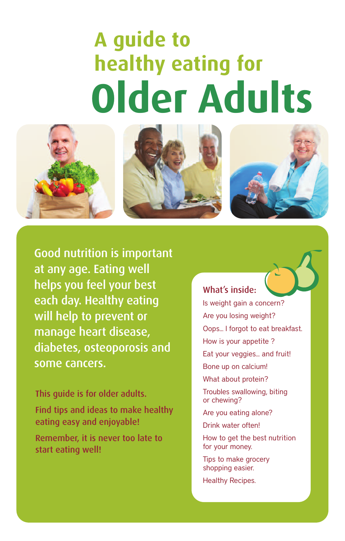# **Older Adults A guide to healthy eating for**







Good nutrition is important at any age. Eating well helps you feel your best each day. Healthy eating will help to prevent or manage heart disease, diabetes, osteoporosis and some cancers.

This guide is for older adults.

Find tips and ideas to make healthy eating easy and enjoyable!

Remember, it is never too late to start eating well!

#### What's inside:

Is weight gain a concern? Are you losing weight? Oops... I forgot to eat breakfast. How is your appetite ? Eat your veggies... and fruit! Bone up on calcium! What about protein? Troubles swallowing, biting or chewing? Are you eating alone? Drink water often! How to get the best nutrition

for your money. Tips to make grocery

shopping easier.

Healthy Recipes.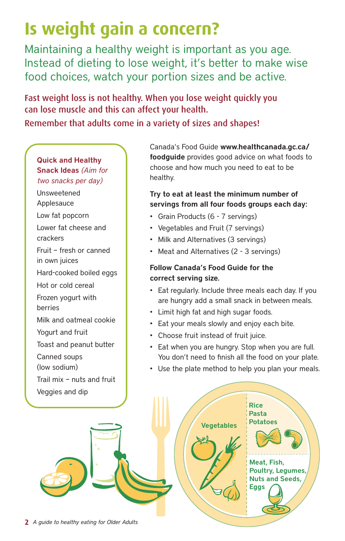### **Is weight gain a concern?**

Maintaining a healthy weight is important as you age. Instead of dieting to lose weight, it's better to make wise food choices, watch your portion sizes and be active.

Fast weight loss is not healthy. When you lose weight quickly you can lose muscle and this can affect your health. Remember that adults come in a variety of sizes and shapes!

#### **Quick and Healthy Snack Ideas** *(Aim for two snacks per day)*

Unsweetened Applesauce Low fat popcorn Lower fat cheese and crackers Fruit – fresh or canned in own juices Hard-cooked boiled eggs Hot or cold cereal Frozen yogurt with berries Milk and oatmeal cookie Yogurt and fruit Toast and peanut butter Canned soups (low sodium) Trail mix – nuts and fruit Veggies and dip

Canada's Food Guide **www.healthcanada.gc.ca/ foodguide** provides good advice on what foods to choose and how much you need to eat to be healthy.

#### **Try to eat at least the minimum number of servings from all four foods groups each day:**

- Grain Products (6 7 servings)
- Vegetables and Fruit (7 servings)
- Milk and Alternatives (3 servings)
- Meat and Alternatives (2 3 servings)

#### **Follow Canada's Food Guide for the correct serving size.**

- Eat regularly. Include three meals each day. If you are hungry add a small snack in between meals.
- Limit high fat and high sugar foods.
- Eat your meals slowly and enjoy each bite.
- Choose fruit instead of fruit juice.
- Eat when you are hungry. Stop when you are full. You don't need to finish all the food on your plate.
- Use the plate method to help you plan your meals.

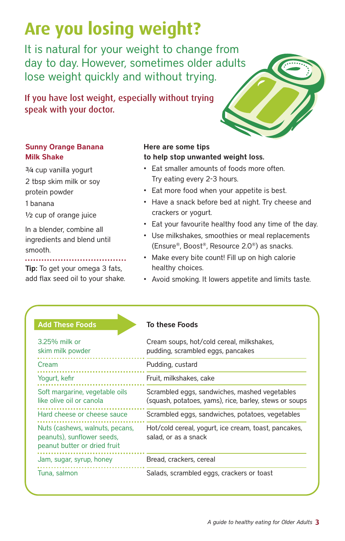## **Are you losing weight?**

It is natural for your weight to change from day to day. However, sometimes older adults lose weight quickly and without trying.

If you have lost weight, especially without trying speak with your doctor.

#### **Sunny Orange Banana Milk Shake**

¾ cup vanilla yogurt 2 tbsp skim milk or soy

protein powder

1 banana

½ cup of orange juice

In a blender, combine all ingredients and blend until smooth.

**Tip:** To get your omega 3 fats, add flax seed oil to your shake.

#### **Here are some tips to help stop unwanted weight loss.**

- Eat smaller amounts of foods more often. Try eating every 2-3 hours.
- Eat more food when your appetite is best.
- Have a snack before bed at night. Try cheese and crackers or yogurt.
- Eat your favourite healthy food any time of the day.
- Use milkshakes, smoothies or meal replacements (Ensure®, Boost®, Resource 2.0®) as snacks.
- Make every bite count! Fill up on high calorie healthy choices.
- Avoid smoking. It lowers appetite and limits taste.

#### **Add These Foods To these Foods**

| 3.25% milk or<br>skim milk powder                                                             | Cream soups, hot/cold cereal, milkshakes,<br>pudding, scrambled eggs, pancakes                          |
|-----------------------------------------------------------------------------------------------|---------------------------------------------------------------------------------------------------------|
| Cream                                                                                         | Pudding, custard                                                                                        |
| Yogurt, kefir                                                                                 | Fruit, milkshakes, cake                                                                                 |
| Soft margarine, vegetable oils<br>like olive oil or canola                                    | Scrambled eggs, sandwiches, mashed vegetables<br>(squash, potatoes, yams), rice, barley, stews or soups |
| Hard cheese or cheese sauce                                                                   | Scrambled eggs, sandwiches, potatoes, vegetables                                                        |
| Nuts (cashews, walnuts, pecans,<br>peanuts), sunflower seeds,<br>peanut butter or dried fruit | Hot/cold cereal, yogurt, ice cream, toast, pancakes,<br>salad, or as a snack                            |
| Jam, sugar, syrup, honey                                                                      | Bread, crackers, cereal                                                                                 |
| Tuna, salmon                                                                                  | Salads, scrambled eggs, crackers or toast                                                               |

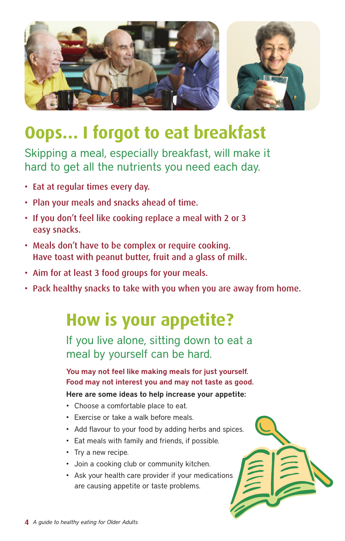

### **Oops… I forgot to eat breakfast**

Skipping a meal, especially breakfast, will make it hard to get all the nutrients you need each day.

- Eat at regular times every day.
- Plan your meals and snacks ahead of time.
- If you don't feel like cooking replace a meal with 2 or 3 easy snacks.
- Meals don't have to be complex or require cooking. Have toast with peanut butter, fruit and a glass of milk.
- Aim for at least 3 food groups for your meals.
- Pack healthy snacks to take with you when you are away from home.

### **How is your appetite?**

If you live alone, sitting down to eat a meal by yourself can be hard.

**You may not feel like making meals for just yourself. Food may not interest you and may not taste as good.**

**Here are some ideas to help increase your appetite:**

- Choose a comfortable place to eat.
- Exercise or take a walk before meals.
- Add flavour to your food by adding herbs and spices.
- Eat meals with family and friends, if possible.
- Try a new recipe.
- Join a cooking club or community kitchen.
- Ask your health care provider if your medications are causing appetite or taste problems.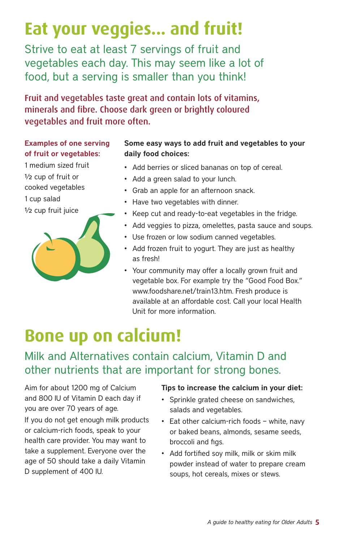### **Eat your veggies... and fruit!**

Strive to eat at least 7 servings of fruit and vegetables each day. This may seem like a lot of food, but a serving is smaller than you think!

Fruit and vegetables taste great and contain lots of vitamins, minerals and fibre. Choose dark green or brightly coloured vegetables and fruit more often.

#### **Examples of one serving of fruit or vegetables:**

1 medium sized fruit ½ cup of fruit or cooked vegetables 1 cup salad ½ cup fruit juice



#### **Some easy ways to add fruit and vegetables to your daily food choices:**

- Add berries or sliced bananas on top of cereal.
- Add a green salad to your lunch.
- Grab an apple for an afternoon snack.
- Have two vegetables with dinner.
- Keep cut and ready-to-eat vegetables in the fridge.
- Add veggies to pizza, omelettes, pasta sauce and soups.
- Use frozen or low sodium canned vegetables.
- Add frozen fruit to yogurt. They are just as healthy as fresh!
- Your community may offer a locally grown fruit and vegetable box. For example try the "Good Food Box." www.foodshare.net/train13.htm. Fresh produce is available at an affordable cost. Call your local Health Unit for more information.

### **Bone up on calcium!**

### Milk and Alternatives contain calcium, Vitamin D and other nutrients that are important for strong bones.

Aim for about 1200 mg of Calcium and 800 IU of Vitamin D each day if you are over 70 years of age.

If you do not get enough milk products or calcium-rich foods, speak to your health care provider. You may want to take a supplement. Everyone over the age of 50 should take a daily Vitamin D supplement of 400 IU.

#### **Tips to increase the calcium in your diet:**

- Sprinkle grated cheese on sandwiches, salads and vegetables.
- Eat other calcium-rich foods white, navy or baked beans, almonds, sesame seeds, broccoli and figs.
- Add fortified soy milk, milk or skim milk powder instead of water to prepare cream soups, hot cereals, mixes or stews.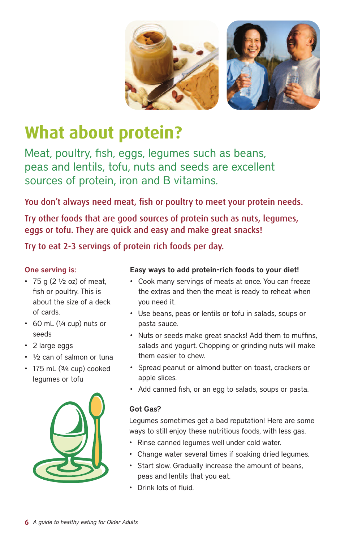



### **What about protein?**

Meat, poultry, fish, eggs, legumes such as beans, peas and lentils, tofu, nuts and seeds are excellent sources of protein, iron and B vitamins.

You don't always need meat, fish or poultry to meet your protein needs.

Try other foods that are good sources of protein such as nuts, legumes, eggs or tofu. They are quick and easy and make great snacks!

Try to eat 2-3 servings of protein rich foods per day.

#### **One serving is:**

- 75 g  $(2 \frac{1}{2}$  oz) of meat, fish or poultry. This is about the size of a deck of cards.
- $\cdot$  60 mL ( $\frac{1}{4}$  cup) nuts or seeds
- 2 large eggs
- ½ can of salmon or tuna
- $\cdot$  175 mL ( $3/4$  cup) cooked legumes or tofu



#### **Easy ways to add protein-rich foods to your diet!**

- Cook many servings of meats at once. You can freeze the extras and then the meat is ready to reheat when you need it.
- Use beans, peas or lentils or tofu in salads, soups or pasta sauce.
- Nuts or seeds make great snacks! Add them to muffins, salads and yogurt. Chopping or grinding nuts will make them easier to chew.
- Spread peanut or almond butter on toast, crackers or apple slices.
- Add canned fish, or an egg to salads, soups or pasta.

#### **Got Gas?**

Legumes sometimes get a bad reputation! Here are some ways to still enjoy these nutritious foods, with less gas.

- Rinse canned legumes well under cold water.
- Change water several times if soaking dried legumes.
- Start slow. Gradually increase the amount of beans, peas and lentils that you eat.
- Drink lots of fluid.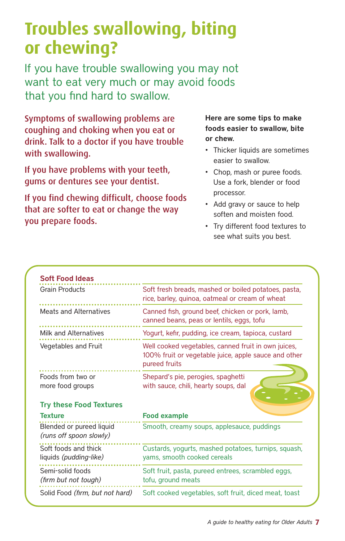### **Troubles swallowing, biting or chewing?**

If you have trouble swallowing you may not want to eat very much or may avoid foods that you find hard to swallow.

Symptoms of swallowing problems are coughing and choking when you eat or drink. Talk to a doctor if you have trouble with swallowing.

If you have problems with your teeth, gums or dentures see your dentist.

If you find chewing difficult, choose foods that are softer to eat or change the way you prepare foods.

#### **Here are some tips to make foods easier to swallow, bite or chew.**

- Thicker liquids are sometimes easier to swallow.
- Chop, mash or puree foods. Use a fork, blender or food processor.
- Add gravy or sauce to help soften and moisten food.
- Try different food textures to see what suits you best.

| <b>Grain Products</b>                                                   | Soft fresh breads, mashed or boiled potatoes, pasta,<br>rice, barley, quinoa, oatmeal or cream of wheat                      |
|-------------------------------------------------------------------------|------------------------------------------------------------------------------------------------------------------------------|
| <b>Meats and Alternatives</b>                                           | Canned fish, ground beef, chicken or pork, lamb,<br>canned beans, peas or lentils, eggs, tofu                                |
| Milk and Alternatives                                                   | Yogurt, kefir, pudding, ice cream, tapioca, custard                                                                          |
| Vegetables and Fruit                                                    | Well cooked vegetables, canned fruit in own juices,<br>100% fruit or vegetable juice, apple sauce and other<br>pureed fruits |
| Foods from two or<br>more food groups<br><b>Try these Food Textures</b> | Shepard's pie, perogies, spaghetti<br>with sauce, chili, hearty soups, dal                                                   |
| <b>Texture</b>                                                          | <b>Food example</b>                                                                                                          |
| Blended or pureed liquid<br>(runs off spoon slowly)                     | Smooth, creamy soups, applesauce, puddings                                                                                   |
| Soft foods and thick<br>liquids (pudding-like)                          | Custards, yogurts, mashed potatoes, turnips, squash,<br>yams, smooth cooked cereals                                          |
| Semi-solid foods<br>(firm but not tough)                                | Soft fruit, pasta, pureed entrees, scrambled eggs,<br>tofu, ground meats                                                     |
|                                                                         |                                                                                                                              |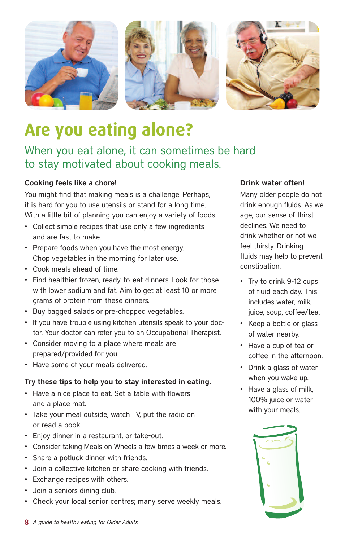



### **Are you eating alone?**

### When you eat alone, it can sometimes be hard to stay motivated about cooking meals.

#### **Cooking feels like a chore!**

You might find that making meals is a challenge. Perhaps, it is hard for you to use utensils or stand for a long time. With a little bit of planning you can enjoy a variety of foods.

- Collect simple recipes that use only a few ingredients and are fast to make.
- Prepare foods when you have the most energy. Chop vegetables in the morning for later use.
- Cook meals ahead of time.
- Find healthier frozen, ready-to-eat dinners. Look for those with lower sodium and fat. Aim to get at least 10 or more grams of protein from these dinners.
- Buy bagged salads or pre-chopped vegetables.
- If you have trouble using kitchen utensils speak to your doctor. Your doctor can refer you to an Occupational Therapist.
- Consider moving to a place where meals are prepared/provided for you.
- Have some of your meals delivered.

#### **Try these tips to help you to stay interested in eating.**

- Have a nice place to eat. Set a table with flowers and a place mat.
- Take your meal outside, watch TV, put the radio on or read a book.
- Enjoy dinner in a restaurant, or take-out.
- Consider taking Meals on Wheels a few times a week or more.
- Share a potluck dinner with friends.
- Join a collective kitchen or share cooking with friends.
- Exchange recipes with others.
- Join a seniors dining club.
- Check your local senior centres; many serve weekly meals.

#### **Drink water often!**

Many older people do not drink enough fluids. As we age, our sense of thirst declines. We need to drink whether or not we feel thirsty. Drinking fluids may help to prevent constipation.

- Try to drink 9-12 cups of fluid each day. This includes water, milk, juice, soup, coffee/tea.
- Keep a bottle or glass of water nearby.
- Have a cup of tea or coffee in the afternoon.
- Drink a glass of water when you wake up.
- Have a glass of milk, 100% juice or water with your meals.

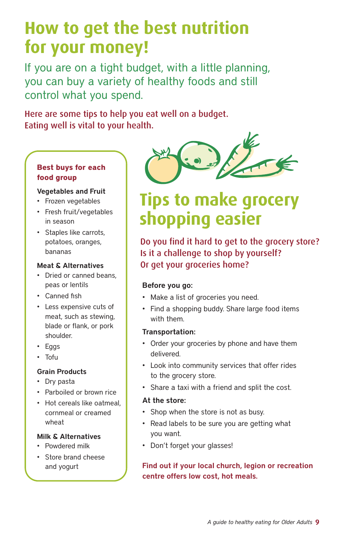### **How to get the best nutrition for your money!**

If you are on a tight budget, with a little planning, you can buy a variety of healthy foods and still control what you spend.

Here are some tips to help you eat well on a budget. Eating well is vital to your health.

#### **Best buys for each food group**

#### **Vegetables and Fruit**

- Frozen vegetables
- Fresh fruit/vegetables in season
- Staples like carrots, potatoes, oranges, bananas

#### **Meat & Alternatives**

- Dried or canned beans, peas or lentils
- Canned fish
- Less expensive cuts of meat, such as stewing, blade or flank, or pork shoulder.
- Eggs
- Tofu

#### **Grain Products**

- Dry pasta
- Parboiled or brown rice
- Hot cereals like oatmeal, cornmeal or creamed wheat

#### **Milk & Alternatives**

- Powdered milk
- Store brand cheese and yogurt



### **Tips to make grocery shopping easier**

Do you find it hard to get to the grocery store? Is it a challenge to shop by yourself? Or get your groceries home?

#### **Before you go:**

- Make a list of groceries you need.
- Find a shopping buddy. Share large food items with them.

#### **Transportation:**

- Order your groceries by phone and have them delivered.
- Look into community services that offer rides to the grocery store.
- Share a taxi with a friend and split the cost.

#### **At the store:**

- Shop when the store is not as busy.
- Read labels to be sure you are getting what you want.
- Don't forget your glasses!

#### **Find out if your local church, legion or recreation centre offers low cost, hot meals.**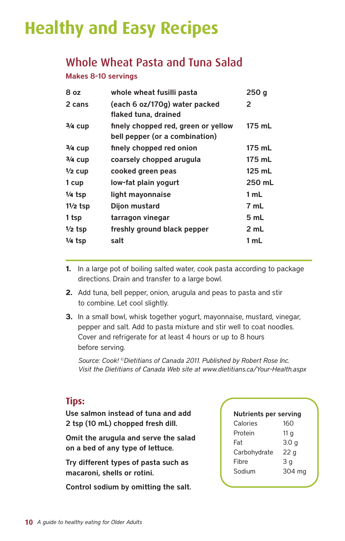### **Healthy and Easy Recipes**

### Whole Wheat Pasta and Tuna Salad

#### **Makes 8-10 servings**

| whole wheat fusilli pasta                                             | 250 <sub>g</sub> |
|-----------------------------------------------------------------------|------------------|
| (each 6 oz/170g) water packed<br>flaked tuna, drained                 | 2                |
| finely chopped red, green or yellow<br>bell pepper (or a combination) | 175 mL           |
| finely chopped red onion                                              | 175 mL           |
| coarsely chopped arugula                                              | 175 mL           |
| cooked green peas                                                     | 125 mL           |
| low-fat plain yogurt                                                  | 250 mL           |
| light mayonnaise                                                      | 1 mL             |
| Dijon mustard                                                         | 7 mL             |
| tarragon vinegar                                                      | 5 mL             |
| freshly ground black pepper                                           | 2 mL             |
| salt                                                                  | 1 mL             |
|                                                                       |                  |

- **1.** In a large pot of boiling salted water, cook pasta according to package directions. Drain and transfer to a large bowl.
- **2.** Add tuna, bell pepper, onion, arugula and peas to pasta and stir to combine. Let cool slightly.
- **3.** In a small bowl, whisk together yogurt, mayonnaise, mustard, vinegar, pepper and salt. Add to pasta mixture and stir well to coat noodles. Cover and refrigerate for at least 4 hours or up to 8 hours before serving.

*Source: Cook! ©Dietitians of Canada 2011. Published by Robert Rose Inc. Visit the Dietitians of Canada Web site at www.dietitians.ca/Your-Health.aspx*

#### **Tips:**

**Use salmon instead of tuna and add 2 tsp (10 mL) chopped fresh dill.**

**Omit the arugula and serve the salad on a bed of any type of lettuce.**

**Try different types of pasta such as macaroni, shells or rotini.**

**Control sodium by omitting the salt.**

| <b>Nutrients per serving</b> |                  |  |
|------------------------------|------------------|--|
| Calories                     | 160              |  |
| Protein                      | 11 g             |  |
| Fat                          | 3.0 <sub>g</sub> |  |
| Carbohydrate                 | 22 <sub>g</sub>  |  |
| Fibre                        | 3 a              |  |
| Sodium                       | 304 mg           |  |
|                              |                  |  |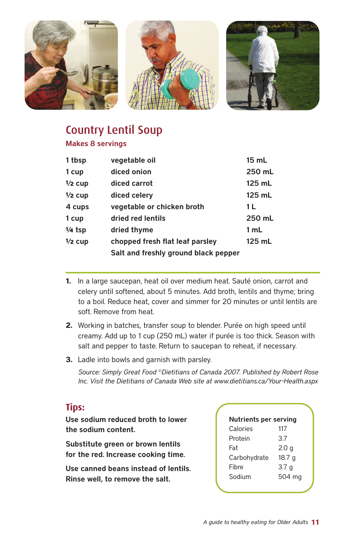

### Country Lentil Soup

**Makes 8 servings**

| 1 tbsp    | vegetable oil                        | $15$ mL  |
|-----------|--------------------------------------|----------|
| 1 cup     | diced onion                          | 250 mL   |
| $1/2$ cup | diced carrot                         | 125 mL   |
| $1/2$ cup | diced celery                         | $125$ mL |
| 4 cups    | vegetable or chicken broth           | 1 L      |
| 1 cup     | dried red lentils                    | 250 mL   |
| $1/4$ tsp | dried thyme                          | 1 mL     |
| $1/2$ cup | chopped fresh flat leaf parsley      | 125 mL   |
|           | Salt and freshly ground black pepper |          |

- **1.** In a large saucepan, heat oil over medium heat. Sauté onion, carrot and celery until softened, about 5 minutes. Add broth, lentils and thyme; bring to a boil. Reduce heat, cover and simmer for 20 minutes or until lentils are soft. Remove from heat.
- **2.** Working in batches, transfer soup to blender. Purée on high speed until creamy. Add up to 1 cup (250 mL) water if purée is too thick. Season with salt and pepper to taste. Return to saucepan to reheat, if necessary.
- **3.** Ladle into bowls and garnish with parsley.

*Source: Simply Great Food ©Dietitians of Canada 2007. Published by Robert Rose Inc. Visit the Dietitians of Canada Web site at www.dietitians.ca/Your-Health.aspx*

#### **Tips:**

**Use sodium reduced broth to lower the sodium content.**

**Substitute green or brown lentils for the red. Increase cooking time.**

**Use canned beans instead of lentils. Rinse well, to remove the salt.**

| <b>Nutrients per serving</b> |                  |  |
|------------------------------|------------------|--|
| Calories                     | 117              |  |
| Protein                      | 3.7              |  |
| Fat                          | 2.0 <sub>g</sub> |  |
| Carbohydrate                 | 18.7 g           |  |
| <b>Fibre</b>                 | 3.7 <sub>g</sub> |  |
| Sodium                       | 504 mg           |  |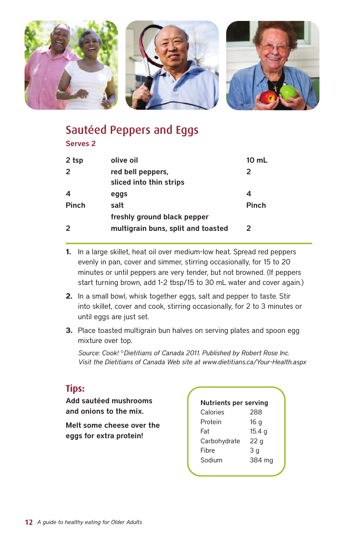

### Sautéed Peppers and Eggs

#### **Serves 2**

| 2 tsp            | olive oil                                    | $10 \text{ mL}$ |
|------------------|----------------------------------------------|-----------------|
| 2                | red bell peppers,<br>sliced into thin strips | 2               |
| $\boldsymbol{4}$ | eggs                                         | 4               |
| <b>Pinch</b>     | salt                                         | <b>Pinch</b>    |
|                  | freshly ground black pepper                  |                 |
| 2                | multigrain buns, split and toasted           | $\mathbf{p}$    |

- **1.** In a large skillet, heat oil over medium-low heat. Spread red peppers evenly in pan, cover and simmer, stirring occasionally, for 15 to 20 minutes or until peppers are very tender, but not browned. (If peppers start turning brown, add 1-2 tbsp/15 to 30 mL water and cover again.)
- **2.** In a small bowl, whisk together eggs, salt and pepper to taste. Stir into skillet, cover and cook, stirring occasionally, for 2 to 3 minutes or until eggs are just set.
- **3.** Place toasted multigrain bun halves on serving plates and spoon egg mixture over top.

*Source: Cook! ©Dietitians of Canada 2011. Published by Robert Rose Inc. Visit the Dietitians of Canada Web site at www.dietitians.ca/Your-Health.aspx*

#### **Tips:**

**Add sautéed mushrooms and onions to the mix.**

**Melt some cheese over the eggs for extra protein!**

| <b>Nutrients per serving</b> |                   |  |
|------------------------------|-------------------|--|
| Calories                     | 288               |  |
| Protein                      | 16 <sub>g</sub>   |  |
| Fat                          | 15.4 <sub>g</sub> |  |
| Carbohydrate                 | 22 <sub>g</sub>   |  |
| <b>Fibre</b>                 | 3 a               |  |
| Sodium                       | 384 mg            |  |
|                              |                   |  |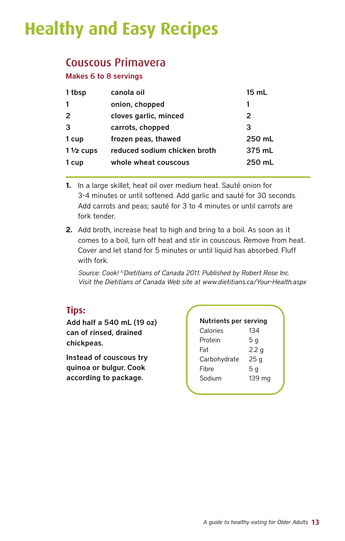### **Healthy and Easy Recipes**

#### Couscous Primavera

**Makes 6 to 8 servings**

| 1 tbsp              | canola oil                   | 15 mL  |
|---------------------|------------------------------|--------|
|                     | onion, chopped               |        |
|                     | cloves garlic, minced        | 2      |
| 3                   | carrots, chopped             | 3      |
| 1 cup               | frozen peas, thawed          | 250 mL |
| $1\frac{1}{2}$ cups | reduced sodium chicken broth | 375 mL |
| 1 cup               | whole wheat couscous         | 250 mL |

- **1.** In a large skillet, heat oil over medium heat. Sauté onion for 3-4 minutes or until softened. Add garlic and sauté for 30 seconds. Add carrots and peas; sauté for 3 to 4 minutes or until carrots are fork tender.
- **2.** Add broth, increase heat to high and bring to a boil. As soon as it comes to a boil, turn off heat and stir in couscous. Remove from heat. Cover and let stand for 5 minutes or until liquid has absorbed. Fluff with fork.

*Source: Cook! ©Dietitians of Canada 2011. Published by Robert Rose Inc. Visit the Dietitians of Canada Web site at www.dietitians.ca/Your-Health.aspx*

#### **Tips:**

**Add half a 540 mL (19 oz) can of rinsed, drained chickpeas.**

**Instead of couscous try quinoa or bulgur. Cook according to package.**

| <b>Nutrients per serving</b> |                  |  |
|------------------------------|------------------|--|
| Calories                     | 134              |  |
| Protein                      | 5 g              |  |
| Fat                          | 2.2 <sub>g</sub> |  |
| Carbohydrate                 | 25 <sub>g</sub>  |  |
| Fibre                        | 5 <sub>q</sub>   |  |
| Sodium                       | 139 mg           |  |
|                              |                  |  |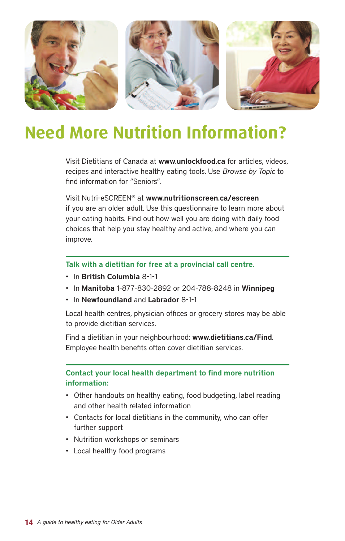

### **Need More Nutrition Information?**

Visit Dietitians of Canada at **www.unlockfood.ca** for articles, videos, recipes and interactive healthy eating tools. Use *Browse by Topic* to find information for "Seniors".

Visit Nutri-eSCREEN® at **www.nutritionscreen.ca/escreen** if you are an older adult. Use this questionnaire to learn more about your eating habits. Find out how well you are doing with daily food choices that help you stay healthy and active, and where you can improve.

**Talk with a dietitian for free at a provincial call centre.**

- In **British Columbia** 8-1-1
- In **Manitoba** 1-877-830-2892 or 204-788-8248 in **Winnipeg**
- In **Newfoundland** and **Labrador** 8-1-1

Local health centres, physician offices or grocery stores may be able to provide dietitian services.

Find a dietitian in your neighbourhood: **www.dietitians.ca/Find**. Employee health benefits often cover dietitian services.

#### **Contact your local health department to find more nutrition information:**

- Other handouts on healthy eating, food budgeting, label reading and other health related information
- Contacts for local dietitians in the community, who can offer further support
- Nutrition workshops or seminars
- Local healthy food programs